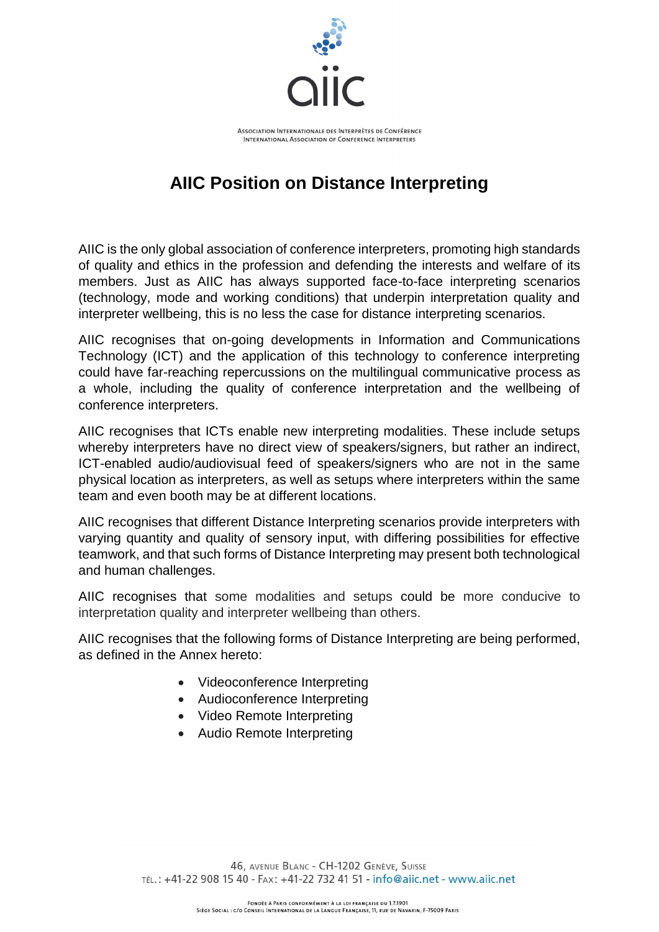

## **AIIC Position on Distance Interpreting**

AIIC is the only global association of conference interpreters, promoting high standards of quality and ethics in the profession and defending the interests and welfare of its members. Just as AIIC has always supported face-to-face interpreting scenarios (technology, mode and working conditions) that underpin interpretation quality and interpreter wellbeing, this is no less the case for distance interpreting scenarios.

AIIC recognises that on-going developments in Information and Communications Technology (ICT) and the application of this technology to conference interpreting could have far-reaching repercussions on the multilingual communicative process as a whole, including the quality of conference interpretation and the wellbeing of conference interpreters.

AIIC recognises that ICTs enable new interpreting modalities. These include setups whereby interpreters have no direct view of speakers/signers, but rather an indirect, ICT-enabled audio/audiovisual feed of speakers/signers who are not in the same physical location as interpreters, as well as setups where interpreters within the same team and even booth may be at different locations.

AIIC recognises that different Distance Interpreting scenarios provide interpreters with varying quantity and quality of sensory input, with differing possibilities for effective teamwork, and that such forms of Distance Interpreting may present both technological and human challenges.

AIIC recognises that some modalities and setups could be more conducive to interpretation quality and interpreter wellbeing than others.

AIIC recognises that the following forms of Distance Interpreting are being performed, as defined in the Annex hereto:

- Videoconference Interpreting
- Audioconference Interpreting
- Video Remote Interpreting
- Audio Remote Interpreting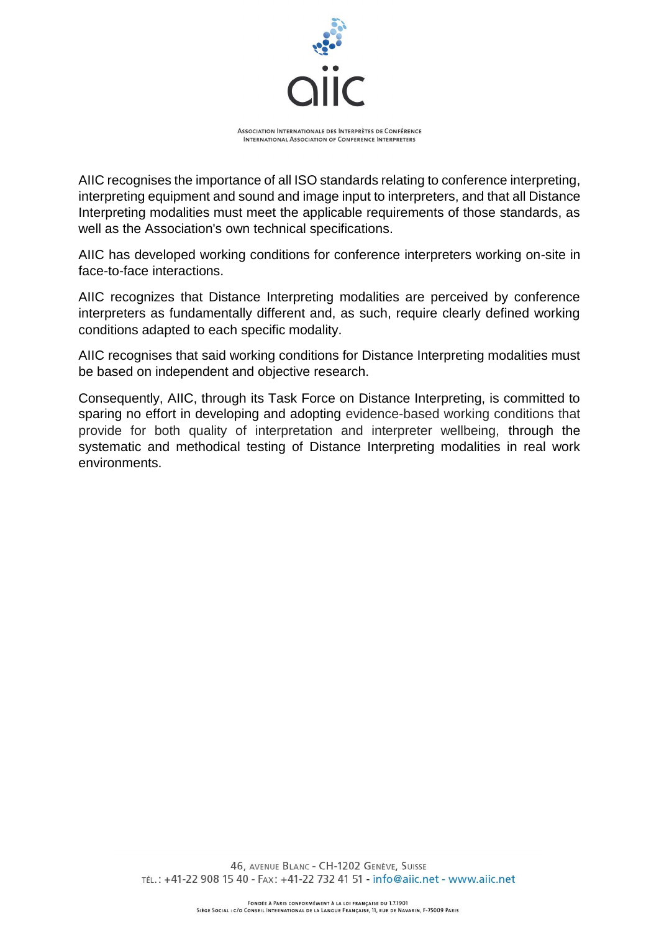

AIIC recognises the importance of all ISO standards relating to conference interpreting, interpreting equipment and sound and image input to interpreters, and that all Distance Interpreting modalities must meet the applicable requirements of those standards, as well as the Association's own technical specifications.

AIIC has developed working conditions for conference interpreters working on-site in face-to-face interactions.

AIIC recognizes that Distance Interpreting modalities are perceived by conference interpreters as fundamentally different and, as such, require clearly defined working conditions adapted to each specific modality.

AIIC recognises that said working conditions for Distance Interpreting modalities must be based on independent and objective research.

Consequently, AIIC, through its Task Force on Distance Interpreting, is committed to sparing no effort in developing and adopting evidence-based working conditions that provide for both quality of interpretation and interpreter wellbeing, through the systematic and methodical testing of Distance Interpreting modalities in real work environments.